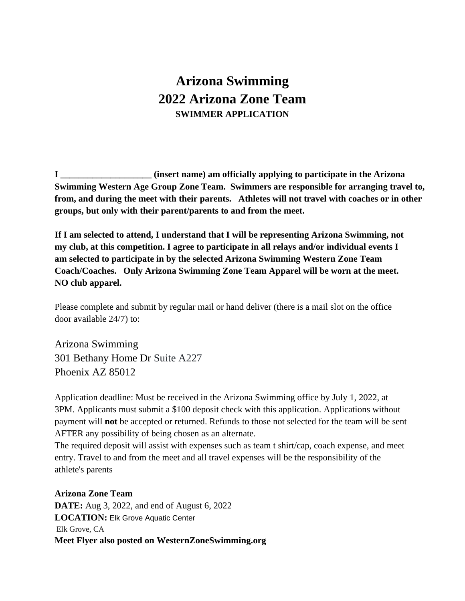## **Arizona Swimming 2022 Arizona Zone Team SWIMMER APPLICATION**

**I \_\_\_\_\_\_\_\_\_\_\_\_\_\_\_\_\_\_\_\_ (insert name) am officially applying to participate in the Arizona Swimming Western Age Group Zone Team. Swimmers are responsible for arranging travel to, from, and during the meet with their parents. Athletes will not travel with coaches or in other groups, but only with their parent/parents to and from the meet.**

**If I am selected to attend, I understand that I will be representing Arizona Swimming, not my club, at this competition. I agree to participate in all relays and/or individual events I am selected to participate in by the selected Arizona Swimming Western Zone Team Coach/Coaches. Only Arizona Swimming Zone Team Apparel will be worn at the meet. NO club apparel.** 

Please complete and submit by regular mail or hand deliver (there is a mail slot on the office door available 24/7) to:

Arizona Swimming 301 Bethany Home Dr Suite A227 Phoenix AZ 85012

Application deadline: Must be received in the Arizona Swimming office by July 1, 2022, at 3PM. Applicants must submit a \$100 deposit check with this application. Applications without payment will **not** be accepted or returned. Refunds to those not selected for the team will be sent AFTER any possibility of being chosen as an alternate.

The required deposit will assist with expenses such as team t shirt/cap, coach expense, and meet entry. Travel to and from the meet and all travel expenses will be the responsibility of the athlete's parents

## **Arizona Zone Team**

**DATE:** Aug 3, 2022, and end of August 6, 2022 **LOCATION: Elk Grove Aquatic Center** Elk Grove, CA **Meet Flyer also posted on WesternZoneSwimming.org**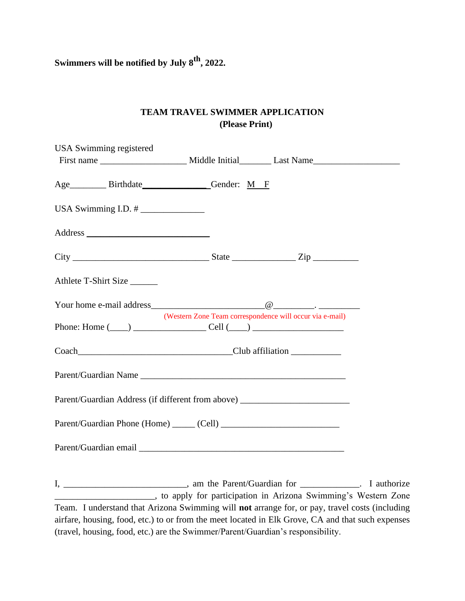**Swimmers will be notified by July 8 th, 2022.**

## **TEAM TRAVEL SWIMMER APPLICATION (Please Print)**

| USA Swimming registered                                                          |                                                          |
|----------------------------------------------------------------------------------|----------------------------------------------------------|
|                                                                                  |                                                          |
|                                                                                  |                                                          |
| Age___________ Birthdate_________________Gender: M__F                            |                                                          |
|                                                                                  |                                                          |
|                                                                                  |                                                          |
|                                                                                  |                                                          |
|                                                                                  |                                                          |
|                                                                                  |                                                          |
|                                                                                  |                                                          |
|                                                                                  |                                                          |
| Athlete T-Shirt Size                                                             |                                                          |
|                                                                                  |                                                          |
|                                                                                  |                                                          |
|                                                                                  | (Western Zone Team correspondence will occur via e-mail) |
| Phone: Home $(\_\_)$ $\_\_$ Cell $(\_\_)$                                        |                                                          |
|                                                                                  |                                                          |
|                                                                                  |                                                          |
|                                                                                  |                                                          |
|                                                                                  |                                                          |
|                                                                                  |                                                          |
| Parent/Guardian Address (if different from above) ______________________________ |                                                          |
|                                                                                  |                                                          |
|                                                                                  |                                                          |
|                                                                                  |                                                          |
|                                                                                  |                                                          |
|                                                                                  |                                                          |
|                                                                                  |                                                          |
|                                                                                  |                                                          |

I, \_\_\_\_\_\_\_\_\_\_\_\_\_\_\_\_\_\_\_\_\_\_\_\_\_\_\_, am the Parent/Guardian for \_\_\_\_\_\_\_\_\_\_\_\_\_. I authorize \_\_\_\_\_\_\_\_\_\_\_\_\_\_\_\_\_\_\_\_\_\_, to apply for participation in Arizona Swimming's Western Zone Team. I understand that Arizona Swimming will **not** arrange for, or pay, travel costs (including airfare, housing, food, etc.) to or from the meet located in Elk Grove, CA and that such expenses (travel, housing, food, etc.) are the Swimmer/Parent/Guardian's responsibility.